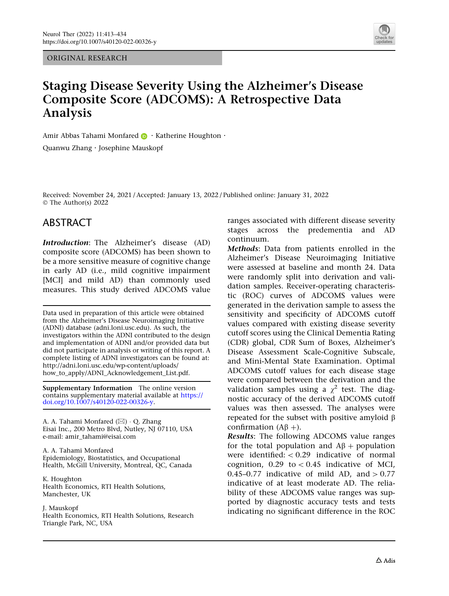ORIGINAL RESEARCH



# Staging Disease Severity Using the Alzheimer's Disease Composite Score (ADCOMS): A Retrospective Data Analysis

Amir Abbas Tahami Monfare[d](http://orcid.org/0000-0003-4003-3192) **B** · Katherine Houghton · Quanwu Zhang . Josephine Mauskopf

Received: November 24, 2021 / Accepted: January 13, 2022 / Published online: January 31, 2022 © The Author(s) 2022

# ABSTRACT

Introduction: The Alzheimer's disease (AD) composite score (ADCOMS) has been shown to be a more sensitive measure of cognitive change in early AD (i.e., mild cognitive impairment [MCI] and mild AD) than commonly used measures. This study derived ADCOMS value

Data used in preparation of this article were obtained from the Alzheimer's Disease Neuroimaging Initiative (ADNI) database (adni.loni.usc.edu). As such, the investigators within the ADNI contributed to the design and implementation of ADNI and/or provided data but did not participate in analysis or writing of this report. A complete listing of ADNI investigators can be found at: http://adni.loni.usc.edu/wp-content/uploads/ how\_to\_apply/ADNI\_Acknowledgement\_List.pdf.

Supplementary Information The online version contains supplementary material available at [https://](https://doi.org/10.1007/s40120-022-00326-y) [doi.org/10.1007/s40120-022-00326-y.](https://doi.org/10.1007/s40120-022-00326-y)

A. A. Tahami Monfared (&) - Q. Zhang Eisai Inc., 200 Metro Blvd, Nutley, NJ 07110, USA e-mail: amir\_tahami@eisai.com

A. A. Tahami Monfared Epidemiology, Biostatistics, and Occupational Health, McGill University, Montreal, QC, Canada

K. Houghton Health Economics, RTI Health Solutions, Manchester, UK

J. Mauskopf Health Economics, RTI Health Solutions, Research Triangle Park, NC, USA

ranges associated with different disease severity stages across the predementia and AD continuum.

Methods: Data from patients enrolled in the Alzheimer's Disease Neuroimaging Initiative were assessed at baseline and month 24. Data were randomly split into derivation and validation samples. Receiver-operating characteristic (ROC) curves of ADCOMS values were generated in the derivation sample to assess the sensitivity and specificity of ADCOMS cutoff values compared with existing disease severity cutoff scores using the Clinical Dementia Rating (CDR) global, CDR Sum of Boxes, Alzheimer's Disease Assessment Scale-Cognitive Subscale, and Mini-Mental State Examination. Optimal ADCOMS cutoff values for each disease stage were compared between the derivation and the validation samples using a  $\chi^2$  test. The diagnostic accuracy of the derived ADCOMS cutoff values was then assessed. The analyses were repeated for the subset with positive amyloid  $\beta$ confirmation  $(A\beta +)$ .

Results: The following ADCOMS value ranges for the total population and  $A\beta$  + population were identified:  $< 0.29$  indicative of normal cognition,  $0.29$  to  $\lt 0.45$  indicative of MCI, 0.45–0.77 indicative of mild AD, and  $> 0.77$ indicative of at least moderate AD. The reliability of these ADCOMS value ranges was supported by diagnostic accuracy tests and tests indicating no significant difference in the ROC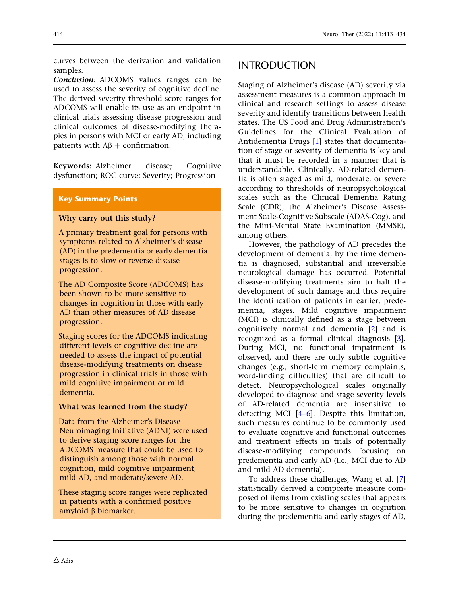curves between the derivation and validation samples.

Conclusion: ADCOMS values ranges can be used to assess the severity of cognitive decline. The derived severity threshold score ranges for ADCOMS will enable its use as an endpoint in clinical trials assessing disease progression and clinical outcomes of disease-modifying therapies in persons with MCI or early AD, including patients with  $AB +$  confirmation.

Keywords: Alzheimer disease; Cognitive dysfunction; ROC curve; Severity; Progression

### Key Summary Points

#### Why carry out this study?

A primary treatment goal for persons with symptoms related to Alzheimer's disease (AD) in the predementia or early dementia stages is to slow or reverse disease progression.

The AD Composite Score (ADCOMS) has been shown to be more sensitive to changes in cognition in those with early AD than other measures of AD disease progression.

Staging scores for the ADCOMS indicating different levels of cognitive decline are needed to assess the impact of potential disease-modifying treatments on disease progression in clinical trials in those with mild cognitive impairment or mild dementia.

#### What was learned from the study?

Data from the Alzheimer's Disease Neuroimaging Initiative (ADNI) were used to derive staging score ranges for the ADCOMS measure that could be used to distinguish among those with normal cognition, mild cognitive impairment, mild AD, and moderate/severe AD.

These staging score ranges were replicated in patients with a confirmed positive amyloid  $\beta$  biomarker.

# INTRODUCTION

Staging of Alzheimer's disease (AD) severity via assessment measures is a common approach in clinical and research settings to assess disease severity and identify transitions between health states. The US Food and Drug Administration's Guidelines for the Clinical Evaluation of Antidementia Drugs [[1\]](#page-19-0) states that documentation of stage or severity of dementia is key and that it must be recorded in a manner that is understandable. Clinically, AD-related dementia is often staged as mild, moderate, or severe according to thresholds of neuropsychological scales such as the Clinical Dementia Rating Scale (CDR), the Alzheimer's Disease Assessment Scale-Cognitive Subscale (ADAS-Cog), and the Mini-Mental State Examination (MMSE), among others.

However, the pathology of AD precedes the development of dementia; by the time dementia is diagnosed, substantial and irreversible neurological damage has occurred. Potential disease-modifying treatments aim to halt the development of such damage and thus require the identification of patients in earlier, predementia, stages. Mild cognitive impairment (MCI) is clinically defined as a stage between cognitively normal and dementia [\[2\]](#page-19-0) and is recognized as a formal clinical diagnosis [[3](#page-19-0)]. During MCI, no functional impairment is observed, and there are only subtle cognitive changes (e.g., short-term memory complaints, word-finding difficulties) that are difficult to detect. Neuropsychological scales originally developed to diagnose and stage severity levels of AD-related dementia are insensitive to detecting MCI [[4–6\]](#page-19-0). Despite this limitation, such measures continue to be commonly used to evaluate cognitive and functional outcomes and treatment effects in trials of potentially disease-modifying compounds focusing on predementia and early AD (i.e., MCI due to AD and mild AD dementia).

To address these challenges, Wang et al. [[7](#page-19-0)] statistically derived a composite measure composed of items from existing scales that appears to be more sensitive to changes in cognition during the predementia and early stages of AD,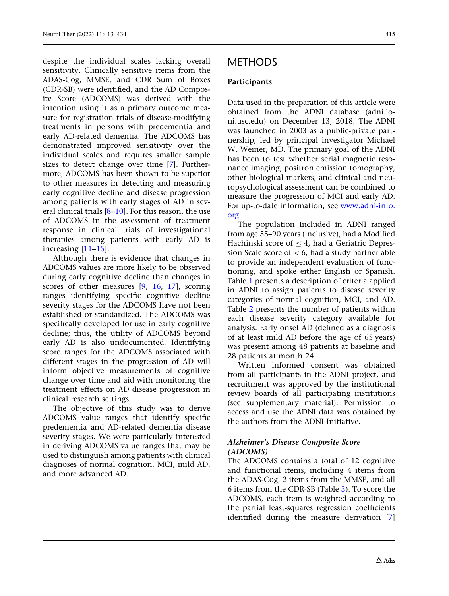despite the individual scales lacking overall sensitivity. Clinically sensitive items from the ADAS-Cog, MMSE, and CDR Sum of Boxes (CDR-SB) were identified, and the AD Composite Score (ADCOMS) was derived with the intention using it as a primary outcome measure for registration trials of disease-modifying treatments in persons with predementia and early AD-related dementia. The ADCOMS has demonstrated improved sensitivity over the individual scales and requires smaller sample sizes to detect change over time [[7](#page-19-0)]. Furthermore, ADCOMS has been shown to be superior to other measures in detecting and measuring early cognitive decline and disease progression among patients with early stages of AD in several clinical trials  $[8-10]$  $[8-10]$  $[8-10]$ . For this reason, the use of ADCOMS in the assessment of treatment response in clinical trials of investigational therapies among patients with early AD is increasing [[11–15\]](#page-20-0).

Although there is evidence that changes in ADCOMS values are more likely to be observed during early cognitive decline than changes in scores of other measures [[9](#page-19-0), [16](#page-20-0), [17](#page-20-0)], scoring ranges identifying specific cognitive decline severity stages for the ADCOMS have not been established or standardized. The ADCOMS was specifically developed for use in early cognitive decline; thus, the utility of ADCOMS beyond early AD is also undocumented. Identifying score ranges for the ADCOMS associated with different stages in the progression of AD will inform objective measurements of cognitive change over time and aid with monitoring the treatment effects on AD disease progression in clinical research settings.

The objective of this study was to derive ADCOMS value ranges that identify specific predementia and AD-related dementia disease severity stages. We were particularly interested in deriving ADCOMS value ranges that may be used to distinguish among patients with clinical diagnoses of normal cognition, MCI, mild AD, and more advanced AD.

# METHODS

#### Participants

Data used in the preparation of this article were obtained from the ADNI database (adni.loni.usc.edu) on December 13, 2018. The ADNI was launched in 2003 as a public-private partnership, led by principal investigator Michael W. Weiner, MD. The primary goal of the ADNI has been to test whether serial magnetic resonance imaging, positron emission tomography, other biological markers, and clinical and neuropsychological assessment can be combined to measure the progression of MCI and early AD. For up-to-date information, see [www.adni-info.](http://www.adni-info.org) [org](http://www.adni-info.org).

The population included in ADNI ranged from age 55–90 years (inclusive), had a Modified Hachinski score of  $\leq$  4, had a Geriatric Depression Scale score of  $< 6$ , had a study partner able to provide an independent evaluation of functioning, and spoke either English or Spanish. Table [1](#page-3-0) presents a description of criteria applied in ADNI to assign patients to disease severity categories of normal cognition, MCI, and AD. Table [2](#page-4-0) presents the number of patients within each disease severity category available for analysis. Early onset AD (defined as a diagnosis of at least mild AD before the age of 65 years) was present among 48 patients at baseline and 28 patients at month 24.

Written informed consent was obtained from all participants in the ADNI project, and recruitment was approved by the institutional review boards of all participating institutions (see supplementary material). Permission to access and use the ADNI data was obtained by the authors from the ADNI Initiative.

### Alzheimer's Disease Composite Score (ADCOMS)

The ADCOMS contains a total of 12 cognitive and functional items, including 4 items from the ADAS-Cog, 2 items from the MMSE, and all 6 items from the CDR-SB (Table [3](#page-4-0)). To score the ADCOMS, each item is weighted according to the partial least-squares regression coefficients identified during the measure derivation [\[7](#page-19-0)]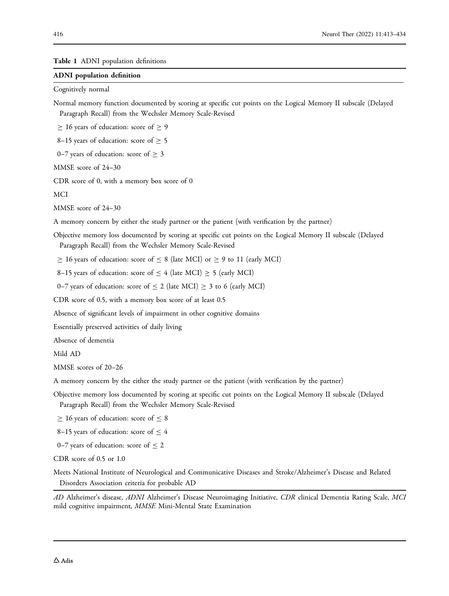<span id="page-3-0"></span>Table 1 ADNI population definitions

#### ADNI population definition

Cognitively normal

Normal memory function documented by scoring at specific cut points on the Logical Memory II subscale (Delayed Paragraph Recall) from the Wechsler Memory Scale-Revised

 $\geq$  16 years of education: score of  $\geq$  9

8–15 years of education: score of  $\geq$  5

0–7 years of education: score of  $\geq$  3

MMSE score of 24–30

CDR score of 0, with a memory box score of 0

MCI

MMSE score of 24–30

A memory concern by either the study partner or the patient (with verification by the partner)

Objective memory loss documented by scoring at specific cut points on the Logical Memory II subscale (Delayed Paragraph Recall) from the Wechsler Memory Scale-Revised

 $\geq$  16 years of education: score of  $\leq$  8 (late MCI) or  $\geq$  9 to 11 (early MCI)

8–15 years of education: score of  $\leq$  4 (late MCI)  $\geq$  5 (early MCI)

0–7 years of education: score of  $\leq$  2 (late MCI)  $\geq$  3 to 6 (early MCI)

CDR score of 0.5, with a memory box score of at least 0.5

Absence of significant levels of impairment in other cognitive domains

Essentially preserved activities of daily living

Absence of dementia

Mild AD

MMSE scores of 20–26

A memory concern by the either the study partner or the patient (with verification by the partner)

Objective memory loss documented by scoring at specific cut points on the Logical Memory II subscale (Delayed Paragraph Recall) from the Wechsler Memory Scale-Revised

 $\geq 16$  years of education: score of  $\leq 8$ 

8–15 years of education: score of  $\leq 4$ 

0–7 years of education: score of  $\leq$  2

CDR score of 0.5 or 1.0

Meets National Institute of Neurological and Communicative Diseases and Stroke/Alzheimer's Disease and Related Disorders Association criteria for probable AD

AD Alzheimer's disease, ADNI Alzheimer's Disease Neuroimaging Initiative, CDR clinical Dementia Rating Scale, MCI mild cognitive impairment, MMSE Mini-Mental State Examination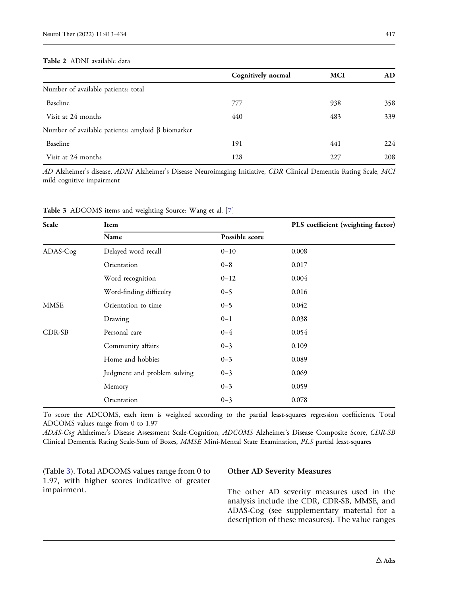#### <span id="page-4-0"></span>Table 2 ADNI available data

|                                                         | Cognitively normal | <b>MCI</b> | AD. |
|---------------------------------------------------------|--------------------|------------|-----|
| Number of available patients: total                     |                    |            |     |
| Baseline                                                | 777                | 938        | 358 |
| Visit at 24 months                                      | 440                | 483        | 339 |
| Number of available patients: amyloid $\beta$ biomarker |                    |            |     |
| Baseline                                                | 191                | 441        | 224 |
| Visit at 24 months                                      | 128                | 227        | 208 |

AD Alzheimer's disease, ADNI Alzheimer's Disease Neuroimaging Initiative, CDR Clinical Dementia Rating Scale, MCI mild cognitive impairment

| Scale       | Item                         |                |       |  |
|-------------|------------------------------|----------------|-------|--|
|             | Name                         | Possible score |       |  |
| ADAS-Cog    | Delayed word recall          | $0 - 10$       | 0.008 |  |
|             | Orientation                  | $0 - 8$        | 0.017 |  |
|             | Word recognition             | $0 - 12$       | 0.004 |  |
|             | Word-finding difficulty      | $0 - 5$        | 0.016 |  |
| <b>MMSE</b> | Orientation to time          | $0 - 5$        | 0.042 |  |
|             | Drawing                      | $0 - 1$        | 0.038 |  |
| CDR-SB      | Personal care                | $0 - 4$        | 0.054 |  |
|             | Community affairs            | $0 - 3$        | 0.109 |  |
|             | Home and hobbies             | $0 - 3$        | 0.089 |  |
|             | Judgment and problem solving | $0 - 3$        | 0.069 |  |
|             | Memory                       | $0 - 3$        | 0.059 |  |
|             | Orientation                  | $0 - 3$        | 0.078 |  |

Table 3 ADCOMS items and weighting Source: Wang et al. [\[7](#page-19-0)]

To score the ADCOMS, each item is weighted according to the partial least-squares regression coefficients. Total ADCOMS values range from 0 to 1.97

ADAS-Cog Alzheimer's Disease Assessment Scale-Cognition, ADCOMS Alzheimer's Disease Composite Score, CDR-SB Clinical Dementia Rating Scale-Sum of Boxes, MMSE Mini-Mental State Examination, PLS partial least-squares

(Table 3). Total ADCOMS values range from 0 to 1.97, with higher scores indicative of greater impairment.

#### Other AD Severity Measures

The other AD severity measures used in the analysis include the CDR, CDR-SB, MMSE, and ADAS-Cog (see supplementary material for a description of these measures). The value ranges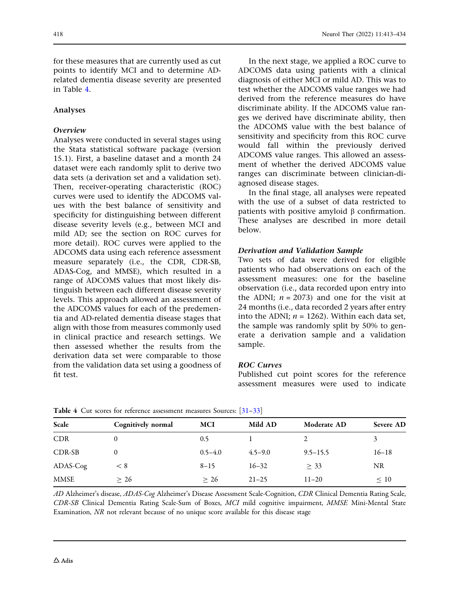<span id="page-5-0"></span>for these measures that are currently used as cut points to identify MCI and to determine ADrelated dementia disease severity are presented in Table 4.

### Analyses

#### Overview

Analyses were conducted in several stages using the Stata statistical software package (version 15.1). First, a baseline dataset and a month 24 dataset were each randomly split to derive two data sets (a derivation set and a validation set). Then, receiver-operating characteristic (ROC) curves were used to identify the ADCOMS values with the best balance of sensitivity and specificity for distinguishing between different disease severity levels (e.g., between MCI and mild AD; see the section on ROC curves for more detail). ROC curves were applied to the ADCOMS data using each reference assessment measure separately (i.e., the CDR, CDR-SB, ADAS-Cog, and MMSE), which resulted in a range of ADCOMS values that most likely distinguish between each different disease severity levels. This approach allowed an assessment of the ADCOMS values for each of the predementia and AD-related dementia disease stages that align with those from measures commonly used in clinical practice and research settings. We then assessed whether the results from the derivation data set were comparable to those from the validation data set using a goodness of fit test.

In the next stage, we applied a ROC curve to ADCOMS data using patients with a clinical diagnosis of either MCI or mild AD. This was to test whether the ADCOMS value ranges we had derived from the reference measures do have discriminate ability. If the ADCOMS value ranges we derived have discriminate ability, then the ADCOMS value with the best balance of sensitivity and specificity from this ROC curve would fall within the previously derived ADCOMS value ranges. This allowed an assessment of whether the derived ADCOMS value ranges can discriminate between clinician-diagnosed disease stages.

In the final stage, all analyses were repeated with the use of a subset of data restricted to patients with positive amyloid  $\beta$  confirmation. These analyses are described in more detail below.

#### Derivation and Validation Sample

Two sets of data were derived for eligible patients who had observations on each of the assessment measures: one for the baseline observation (i.e., data recorded upon entry into the ADNI;  $n = 2073$ ) and one for the visit at 24 months (i.e., data recorded 2 years after entry into the ADNI;  $n = 1262$ ). Within each data set, the sample was randomly split by 50% to generate a derivation sample and a validation sample.

#### ROC Curves

Published cut point scores for the reference assessment measures were used to indicate

| Scale      | Cognitively normal | <b>MCI</b>  | Mild AD     | Moderate AD  | Severe AD |
|------------|--------------------|-------------|-------------|--------------|-----------|
| <b>CDR</b> | 0                  | 0.5         |             |              | 3         |
| CDR-SB     |                    | $0.5 - 4.0$ | $4.5 - 9.0$ | $9.5 - 15.5$ | $16 - 18$ |
| ADAS-Cog   | < 8                | $8 - 15$    | $16 - 32$   | $\geq$ 33    | <b>NR</b> |
| MMSE       | > 26               | > 26        | $21 - 25$   | $11 - 20$    | $\leq 10$ |

Table 4 Cut scores for reference assessment measures Sources: [[31](#page-20-0)–[33](#page-21-0)]

AD Alzheimer's disease, ADAS-Cog Alzheimer's Disease Assessment Scale-Cognition, CDR Clinical Dementia Rating Scale, CDR-SB Clinical Dementia Rating Scale-Sum of Boxes, MCI mild cognitive impairment, MMSE Mini-Mental State Examination, NR not relevant because of no unique score available for this disease stage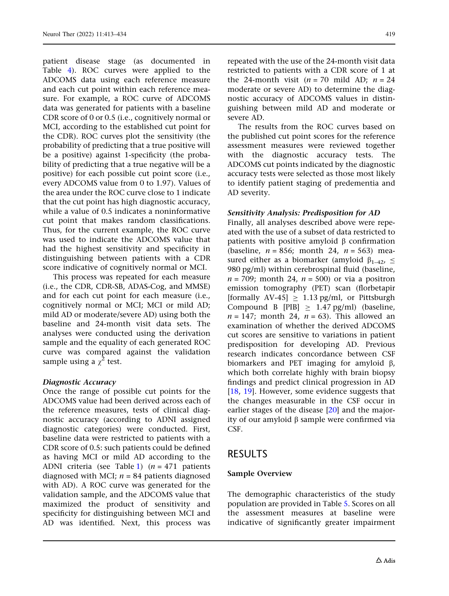patient disease stage (as documented in Table [4](#page-5-0)). ROC curves were applied to the ADCOMS data using each reference measure and each cut point within each reference measure. For example, a ROC curve of ADCOMS data was generated for patients with a baseline CDR score of 0 or 0.5 (i.e., cognitively normal or MCI, according to the established cut point for the CDR). ROC curves plot the sensitivity (the probability of predicting that a true positive will be a positive) against 1-specificity (the probability of predicting that a true negative will be a positive) for each possible cut point score (i.e., every ADCOMS value from 0 to 1.97). Values of the area under the ROC curve close to 1 indicate that the cut point has high diagnostic accuracy, while a value of 0.5 indicates a noninformative cut point that makes random classifications. Thus, for the current example, the ROC curve was used to indicate the ADCOMS value that had the highest sensitivity and specificity in distinguishing between patients with a CDR score indicative of cognitively normal or MCI.

This process was repeated for each measure (i.e., the CDR, CDR-SB, ADAS-Cog, and MMSE) and for each cut point for each measure (i.e., cognitively normal or MCI; MCI or mild AD; mild AD or moderate/severe AD) using both the baseline and 24-month visit data sets. The analyses were conducted using the derivation sample and the equality of each generated ROC curve was compared against the validation sample using a  $\chi^2$  test.

#### Diagnostic Accuracy

Once the range of possible cut points for the ADCOMS value had been derived across each of the reference measures, tests of clinical diagnostic accuracy (according to ADNI assigned diagnostic categories) were conducted. First, baseline data were restricted to patients with a CDR score of 0.5: such patients could be defined as having MCI or mild AD according to the ADNI criteria (see Table [1](#page-3-0))  $(n = 471$  patients diagnosed with MCI;  $n = 84$  patients diagnosed with AD). A ROC curve was generated for the validation sample, and the ADCOMS value that maximized the product of sensitivity and specificity for distinguishing between MCI and AD was identified. Next, this process was

repeated with the use of the 24-month visit data restricted to patients with a CDR score of 1 at the 24-month visit ( $n = 70$  mild AD;  $n = 24$ moderate or severe AD) to determine the diagnostic accuracy of ADCOMS values in distinguishing between mild AD and moderate or severe AD.

The results from the ROC curves based on the published cut point scores for the reference assessment measures were reviewed together with the diagnostic accuracy tests. The ADCOMS cut points indicated by the diagnostic accuracy tests were selected as those most likely to identify patient staging of predementia and AD severity.

### Sensitivity Analysis: Predisposition for AD

Finally, all analyses described above were repeated with the use of a subset of data restricted to patients with positive amyloid  $\beta$  confirmation (baseline,  $n = 856$ ; month 24,  $n = 563$ ) measured either as a biomarker (amyloid  $\beta_{1-42}$ ,  $\leq$ 980 pg/ml) within cerebrospinal fluid (baseline,  $n = 709$ ; month 24,  $n = 500$ ) or via a positron emission tomography (PET) scan (florbetapir [formally AV-45]  $\geq 1.13$  pg/ml, or Pittsburgh Compound B [PIB]  $\geq$  1.47 pg/ml) (baseline,  $n = 147$ ; month 24,  $n = 63$ ). This allowed an examination of whether the derived ADCOMS cut scores are sensitive to variations in patient predisposition for developing AD. Previous research indicates concordance between CSF biomarkers and PET imaging for amyloid  $\beta$ , which both correlate highly with brain biopsy findings and predict clinical progression in AD [\[18,](#page-20-0) [19](#page-20-0)]. However, some evidence suggests that the changes measurable in the CSF occur in earlier stages of the disease [[20](#page-20-0)] and the majority of our amyloid  $\beta$  sample were confirmed via CSF.

## RESULTS

#### Sample Overview

The demographic characteristics of the study population are provided in Table [5.](#page-7-0) Scores on all the assessment measures at baseline were indicative of significantly greater impairment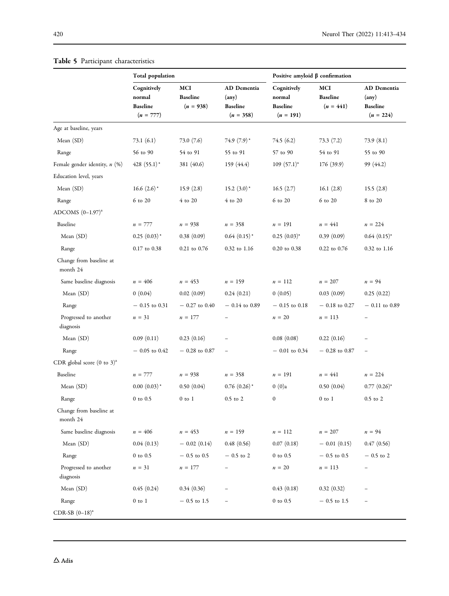|                                        | <b>Total population</b>                                 |                                       |                                                        | Positive amyloid $\beta$ confirmation                   |                                       |                                                        |
|----------------------------------------|---------------------------------------------------------|---------------------------------------|--------------------------------------------------------|---------------------------------------------------------|---------------------------------------|--------------------------------------------------------|
|                                        | Cognitively<br>normal<br><b>Baseline</b><br>$(n = 777)$ | MCI<br><b>Baseline</b><br>$(n = 938)$ | AD Dementia<br>(any)<br><b>Baseline</b><br>$(n = 358)$ | Cognitively<br>normal<br><b>Baseline</b><br>$(n = 191)$ | MCI<br><b>Baseline</b><br>$(n = 441)$ | AD Dementia<br>(any)<br><b>Baseline</b><br>$(n = 224)$ |
| Age at baseline, years                 |                                                         |                                       |                                                        |                                                         |                                       |                                                        |
| Mean (SD)                              | 73.1(6.1)                                               | 73.0(7.6)                             | $74.9(7.9)^*$                                          | 74.5(6.2)                                               | 73.3(7.2)                             | 73.9 (8.1)                                             |
| Range                                  | 56 to 90                                                | 54 to 91                              | 55 to 91                                               | 57 to 90                                                | 54 to 91                              | 55 to 90                                               |
| Female gender identity, n (%)          | $428(55.1)$ *                                           | 381 (40.6)                            | 159 (44.4)                                             | $109(57.1)^*$                                           | 176 (39.9)                            | 99 (44.2)                                              |
| Education level, years                 |                                                         |                                       |                                                        |                                                         |                                       |                                                        |
| Mean (SD)                              | 16.6 $(2.6)^*$                                          | 15.9(2.8)                             | 15.2 $(3.0)^*$                                         | 16.5(2.7)                                               | 16.1(2.8)                             | 15.5(2.8)                                              |
| Range                                  | 6 to 20                                                 | $4$ to $20$                           | 4 to 20                                                | 6 to 20                                                 | 6 to 20                               | 8 to 20                                                |
| ADCOMS $(0-1.97)^a$                    |                                                         |                                       |                                                        |                                                         |                                       |                                                        |
| Baseline                               | $n = 777$                                               | $n = 938$                             | $n = 358$                                              | $n = 191$                                               | $n = 441$                             | $n = 224$                                              |
| Mean (SD)                              | $0.25(0.03)^*$                                          | 0.38(0.09)                            | $0.64$ $(0.15)$ <sup>*</sup>                           | $0.25(0.03)^{*}$                                        | 0.39(0.09)                            | $0.64$ $(0.15)^*$                                      |
| Range                                  | 0.17 to 0.38                                            | $0.21$ to $0.76$                      | 0.32 to 1.16                                           | 0.20 to 0.38                                            | 0.22 to 0.76                          | 0.32 to 1.16                                           |
| Change from baseline at<br>month 24    |                                                         |                                       |                                                        |                                                         |                                       |                                                        |
| Same baseline diagnosis                | $n = 406$                                               | $n = 453$                             | $n = 159$                                              | $n = 112$                                               | $n = 207$                             | $n = 94$                                               |
| Mean (SD)                              | 0(0.04)                                                 | 0.02(0.09)                            | 0.24(0.21)                                             | 0(0.05)                                                 | 0.03(0.09)                            | 0.25(0.22)                                             |
| Range                                  | $-0.15$ to 0.31                                         | $-0.27$ to 0.40                       | $-0.14$ to 0.89                                        | $-0.15$ to 0.18                                         | $-0.18$ to 0.27                       | $-0.11$ to 0.89                                        |
| Progressed to another<br>diagnosis     | $n = 31$                                                | $n = 177$                             |                                                        | $n = 20$                                                | $n = 113$                             | $\overline{\phantom{0}}$                               |
| Mean (SD)                              | 0.09(0.11)                                              | 0.23(0.16)                            |                                                        | 0.08(0.08)                                              | 0.22(0.16)                            |                                                        |
| Range                                  | $-0.05$ to $0.42$                                       | $-0.28$ to 0.87                       |                                                        | $-0.01$ to $0.34$                                       | $-0.28$ to 0.87                       | $\qquad \qquad -$                                      |
| CDR global score $(0 \text{ to } 3)^a$ |                                                         |                                       |                                                        |                                                         |                                       |                                                        |
| Baseline                               | $n = 777$                                               | $n = 938$                             | $n = 358$                                              | $n = 191$                                               | $n = 441$                             | $n = 224$                                              |
| Mean (SD)                              | $0.00(0.03)^*$                                          | 0.50(0.04)                            | $0.76$ $(0.26)$ <sup>*</sup>                           | $0(0)$ a                                                | 0.50(0.04)                            | $0.77(0.26)^*$                                         |
| Range                                  | $0$ to $0.5$                                            | $0$ to $1$                            | $0.5$ to $2$                                           | $\boldsymbol{0}$                                        | $0$ to $1$                            | $0.5$ to $2$                                           |
| Change from baseline at<br>month 24    |                                                         |                                       |                                                        |                                                         |                                       |                                                        |
| Same baseline diagnosis                | $n = 406$                                               | $n = 453$                             | $n = 159$                                              | $n = 112$                                               | $n = 207$                             | $n = 94$                                               |
| Mean (SD)                              | 0.04(0.13)                                              | $-$ 0.02 (0.14)                       | 0.48(0.56)                                             | 0.07(0.18)                                              | $-$ 0.01 (0.15)                       | 0.47(0.56)                                             |
| Range                                  | $0$ to $0.5$                                            | $-0.5$ to 0.5                         | $-0.5$ to 2                                            | $0$ to $0.5$                                            | $-0.5$ to 0.5                         | $-0.5$ to 2                                            |
| Progressed to another<br>diagnosis     | $n = 31$                                                | $n = 177$                             |                                                        | $n = 20$                                                | $n = 113$                             | $\qquad \qquad -$                                      |
| Mean (SD)                              | 0.45(0.24)                                              | 0.34(0.36)                            |                                                        | 0.43(0.18)                                              | 0.32(0.32)                            |                                                        |
| Range                                  | $0$ to $1$                                              | $-0.5$ to 1.5                         |                                                        | $0$ to $0.5$                                            | $-0.5$ to 1.5                         |                                                        |
| CDR-SB $(0-18)^a$                      |                                                         |                                       |                                                        |                                                         |                                       |                                                        |

### <span id="page-7-0"></span>Table 5 Participant characteristics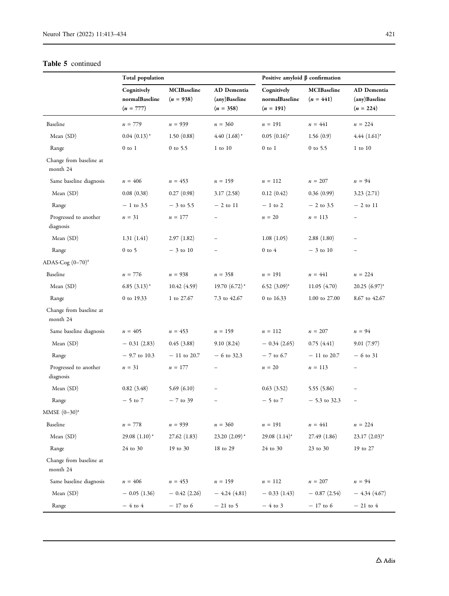#### Table 5 continued

|                                     | Total population                             |                                   |                                             | Positive amyloid $\beta$ confirmation        |                                   |                                             |
|-------------------------------------|----------------------------------------------|-----------------------------------|---------------------------------------------|----------------------------------------------|-----------------------------------|---------------------------------------------|
|                                     | Cognitively<br>normalBaseline<br>$(n = 777)$ | <b>MCIBaseline</b><br>$(n = 938)$ | AD Dementia<br>(any)Baseline<br>$(n = 358)$ | Cognitively<br>normalBaseline<br>$(n = 191)$ | <b>MCIBaseline</b><br>$(n = 441)$ | AD Dementia<br>(any)Baseline<br>$(n = 224)$ |
| Baseline                            | $n = 779$                                    | $n = 939$                         | $n = 360$                                   | $n = 191$                                    | $n = 441$                         | $n = 224$                                   |
| Mean (SD)                           | $0.04(0.13)$ *                               | 1.50(0.88)                        | $4.40(1.68)$ <sup>*</sup>                   | $0.05(0.16)^*$                               | 1.56(0.9)                         | $4.44$ $(1.61)^*$                           |
| Range                               | $0$ to $1$                                   | $0$ to 5.5                        | $1$ to $10$                                 | $0$ to $1$                                   | $0$ to 5.5                        | $1$ to $10$                                 |
| Change from baseline at<br>month 24 |                                              |                                   |                                             |                                              |                                   |                                             |
| Same baseline diagnosis             | $n = 406$                                    | $n = 453$                         | $n = 159$                                   | $n = 112$                                    | $n = 207$                         | $n = 94$                                    |
| Mean (SD)                           | 0.08(0.38)                                   | 0.27(0.98)                        | 3.17(2.58)                                  | 0.12(0.42)                                   | 0.36(0.99)                        | 3.23(2.71)                                  |
| Range                               | $-1$ to 3.5                                  | $-3$ to 5.5                       | $-2$ to 11                                  | $-1$ to 2                                    | $-2$ to 3.5                       | $-2$ to $11$                                |
| Progressed to another<br>diagnosis  | $n = 31$                                     | $n = 177$                         | $\qquad \qquad -$                           | $n = 20$                                     | $n = 113$                         | $\qquad \qquad -$                           |
| Mean (SD)                           | 1.31(1.41)                                   | 2.97(1.82)                        |                                             | 1.08(1.05)                                   | 2.88(1.80)                        |                                             |
| Range                               | $0$ to 5                                     | $-3$ to 10                        |                                             | $0$ to $4$                                   | $-3$ to 10                        | $\overline{\phantom{0}}$                    |
| ADAS-Cog $(0-70)^a$                 |                                              |                                   |                                             |                                              |                                   |                                             |
| Baseline                            | $n = 776$                                    | $n = 938$                         | $n = 358$                                   | $n = 191$                                    | $n = 441$                         | $n = 224$                                   |
| Mean (SD)                           | $6.85(3.13)^*$                               | 10.42 (4.59)                      | 19.70 $(6.72)$ <sup>*</sup>                 | 6.52 $(3.09)^*$                              | 11.05(4.70)                       | 20.25 (6.97)*                               |
| Range                               | 0 to 19.33                                   | 1 to 27.67                        | 7.3 to 42.67                                | 0 to 16.33                                   | 1.00 to 27.00                     | 8.67 to 42.67                               |
| Change from baseline at<br>month 24 |                                              |                                   |                                             |                                              |                                   |                                             |
| Same baseline diagnosis             | $n = 405$                                    | $n = 453$                         | $n = 159$                                   | $n = 112$                                    | $n = 207$                         | $n = 94$                                    |
| Mean (SD)                           | $-0.31(2.83)$                                | 0.45(3.88)                        | 9.10(8.24)                                  | $-0.34(2.65)$                                | 0.75(4.41)                        | 9.01(7.97)                                  |
| Range                               | $-9.7$ to 10.3                               | $-11$ to 20.7                     | $-6$ to 32.3                                | $-7$ to 6.7                                  | $-11$ to 20.7                     | $-6$ to 31                                  |
| Progressed to another<br>diagnosis  | $n = 31$                                     | $n = 177$                         |                                             | $n = 20$                                     | $n = 113$                         | $\overline{\phantom{a}}$                    |
| Mean (SD)                           | 0.82(3.48)                                   | 5.69 $(6.10)$                     |                                             | 0.63(3.52)                                   | 5.55(5.86)                        |                                             |
| Range                               | $-5$ to $7$                                  | $-7$ to 39                        |                                             | $-5$ to $7$                                  | $-5.3$ to 32.3                    |                                             |
| MMSE $(0-30)^a$                     |                                              |                                   |                                             |                                              |                                   |                                             |
| Baseline                            | $n = 778$                                    | $n = 939$                         | $n = 360$                                   | $n = 191$                                    | $n = 441$                         | $n = 224$                                   |
| Mean (SD)                           | 29.08 $(1.10)^*$                             | 27.62(1.83)                       | $23.20(2.09)$ *                             | 29.08 $(1.14)^*$                             | 27.49 (1.86)                      | $23.17$ $(2.03)^*$                          |
| Range                               | 24 to 30                                     | 19 to 30                          | 18 to 29                                    | 24 to 30                                     | 23 to 30                          | 19 to 27                                    |
| Change from baseline at<br>month 24 |                                              |                                   |                                             |                                              |                                   |                                             |
| Same baseline diagnosis             | $n = 406$                                    | $n=453\,$                         | $n = 159$                                   | $n = 112$                                    | $n = 207$                         | $n = 94$                                    |
| Mean $(SD)$                         | $-0.05(1.36)$                                | $-0.42(2.26)$                     | $-4.24(4.81)$                               | $-0.33(1.43)$                                | $-0.87(2.54)$                     | $-4.34(4.67)$                               |
| Range                               | $-4$ to 4                                    | $-17$ to 6                        | $-21$ to 5                                  | $-4$ to 3                                    | $-17$ to 6                        | $-21$ to 4                                  |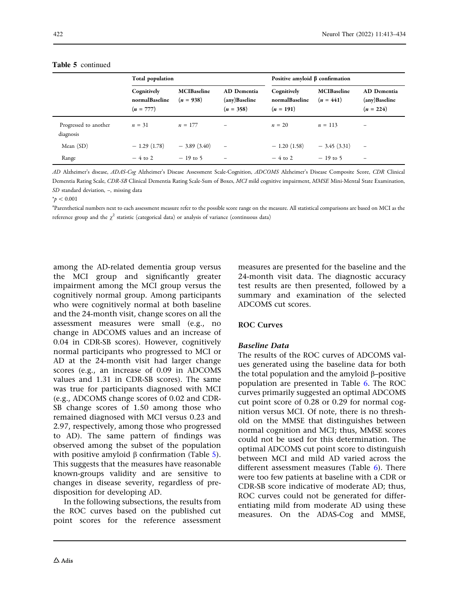|                                    | Total population                             |                                   |                                             | Positive amyloid $\beta$ confirmation        |                                   |                                             |
|------------------------------------|----------------------------------------------|-----------------------------------|---------------------------------------------|----------------------------------------------|-----------------------------------|---------------------------------------------|
|                                    | Cognitively<br>normalBaseline<br>$(n = 777)$ | <b>MCIBaseline</b><br>$(n = 938)$ | AD Dementia<br>(any)Baseline<br>$(n = 358)$ | Cognitively<br>normalBaseline<br>$(n = 191)$ | <b>MCIBaseline</b><br>$(n = 441)$ | AD Dementia<br>(any)Baseline<br>$(n = 224)$ |
| Progressed to another<br>diagnosis | $n = 31$                                     | $n = 177$                         |                                             | $n = 20$                                     | $n = 113$                         |                                             |
| Mean $(SD)$                        | $-1.29(1.78)$                                | $-3.89(3.40)$                     | $\equiv$                                    | $-1.20(1.58)$                                | $-3.45(3.31)$                     | $\qquad \qquad -$                           |
| Range                              | $-4$ to 2                                    | $-19$ to 5                        | $\overline{\phantom{m}}$                    | $-4$ to 2                                    | $-19$ to 5                        | $\qquad \qquad -$                           |

#### Table 5 continued

AD Alzheimer's disease, ADAS-Cog Alzheimer's Disease Assessment Scale-Cognition, ADCOMS Alzheimer's Disease Composite Score, CDR Clinical Dementia Rating Scale, CDR-SB Clinical Dementia Rating Scale-Sum of Boxes, MCI mild cognitive impairment, MMSE Mini-Mental State Examination, SD standard deviation, –, missing data

 $*_p$  < 0.001

a Parenthetical numbers next to each assessment measure refer to the possible score range on the measure. All statistical comparisons are based on MCI as the reference group and the  $\chi^2$  statistic (categorical data) or analysis of variance (continuous data)

among the AD-related dementia group versus the MCI group and significantly greater impairment among the MCI group versus the cognitively normal group. Among participants who were cognitively normal at both baseline and the 24-month visit, change scores on all the assessment measures were small (e.g., no change in ADCOMS values and an increase of 0.04 in CDR-SB scores). However, cognitively normal participants who progressed to MCI or AD at the 24-month visit had larger change scores (e.g., an increase of 0.09 in ADCOMS values and 1.31 in CDR-SB scores). The same was true for participants diagnosed with MCI (e.g., ADCOMS change scores of 0.02 and CDR-SB change scores of 1.50 among those who remained diagnosed with MCI versus 0.23 and 2.97, respectively, among those who progressed to AD). The same pattern of findings was observed among the subset of the population with positive amyloid  $\beta$  confirmation (Table [5\)](#page-7-0). This suggests that the measures have reasonable known-groups validity and are sensitive to changes in disease severity, regardless of predisposition for developing AD.

In the following subsections, the results from the ROC curves based on the published cut point scores for the reference assessment

measures are presented for the baseline and the 24-month visit data. The diagnostic accuracy test results are then presented, followed by a summary and examination of the selected ADCOMS cut scores.

### ROC Curves

#### Baseline Data

The results of the ROC curves of ADCOMS values generated using the baseline data for both the total population and the amyloid  $\beta$ –positive population are presented in Table [6.](#page-10-0) The ROC curves primarily suggested an optimal ADCOMS cut point score of 0.28 or 0.29 for normal cognition versus MCI. Of note, there is no threshold on the MMSE that distinguishes between normal cognition and MCI; thus, MMSE scores could not be used for this determination. The optimal ADCOMS cut point score to distinguish between MCI and mild AD varied across the different assessment measures (Table [6](#page-10-0)). There were too few patients at baseline with a CDR or CDR-SB score indicative of moderate AD; thus, ROC curves could not be generated for differentiating mild from moderate AD using these measures. On the ADAS-Cog and MMSE,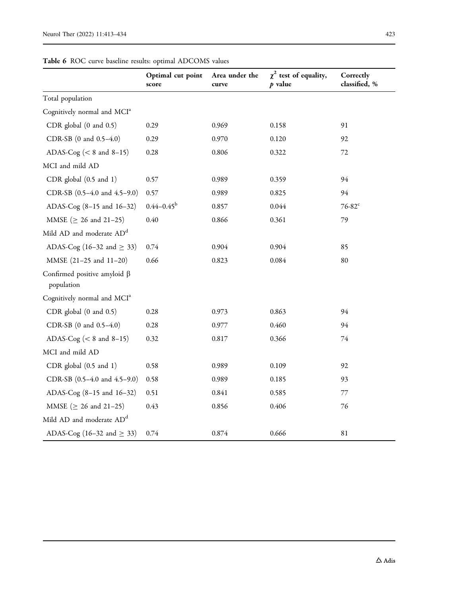<span id="page-10-0"></span>

| <b>Table 6</b> ROC curve baseline results: optimal ADCOMS values |  |  |  |  |  |
|------------------------------------------------------------------|--|--|--|--|--|
|------------------------------------------------------------------|--|--|--|--|--|

|                                                  | Optimal cut point<br>score | Area under the<br>curve | $\chi^2$ test of equality,<br>$p$ value | Correctly<br>classified, % |
|--------------------------------------------------|----------------------------|-------------------------|-----------------------------------------|----------------------------|
| Total population                                 |                            |                         |                                         |                            |
| Cognitively normal and MCI <sup>a</sup>          |                            |                         |                                         |                            |
| CDR global $(0 \text{ and } 0.5)$                | 0.29                       | 0.969                   | 0.158                                   | 91                         |
| CDR-SB (0 and 0.5-4.0)                           | 0.29                       | 0.970                   | 0.120                                   | 92                         |
| ADAS-Cog ( $< 8$ and $8-15$ )                    | 0.28                       | 0.806                   | 0.322                                   | 72                         |
| MCI and mild AD                                  |                            |                         |                                         |                            |
| CDR global (0.5 and 1)                           | 0.57                       | 0.989                   | 0.359                                   | 94                         |
| CDR-SB (0.5-4.0 and 4.5-9.0)                     | 0.57                       | 0.989                   | 0.825                                   | 94                         |
| ADAS-Cog (8-15 and 16-32)                        | $0.44 - 0.45^{\rm b}$      | 0.857                   | 0.044                                   | $76-82$ <sup>c</sup>       |
| MMSE ( $\geq$ 26 and 21-25)                      | 0.40                       | 0.866                   | 0.361                                   | 79                         |
| Mild AD and moderate AD <sup>d</sup>             |                            |                         |                                         |                            |
| ADAS-Cog (16–32 and $\geq$ 33)                   | 0.74                       | 0.904                   | 0.904                                   | 85                         |
| MMSE (21-25 and 11-20)                           | 0.66                       | 0.823                   | 0.084                                   | 80                         |
| Confirmed positive amyloid $\beta$<br>population |                            |                         |                                         |                            |
| Cognitively normal and MCI <sup>a</sup>          |                            |                         |                                         |                            |
| CDR global $(0 \text{ and } 0.5)$                | 0.28                       | 0.973                   | 0.863                                   | 94                         |
| CDR-SB (0 and 0.5-4.0)                           | 0.28                       | 0.977                   | 0.460                                   | 94                         |
| ADAS-Cog ( $< 8$ and $8-15$ )                    | 0.32                       | 0.817                   | 0.366                                   | 74                         |
| MCI and mild AD                                  |                            |                         |                                         |                            |
| CDR global (0.5 and 1)                           | 0.58                       | 0.989                   | 0.109                                   | 92                         |
| CDR-SB (0.5-4.0 and 4.5-9.0)                     | 0.58                       | 0.989                   | 0.185                                   | 93                         |
| ADAS-Cog (8-15 and 16-32)                        | 0.51                       | 0.841                   | 0.585                                   | 77                         |
| MMSE ( $\geq$ 26 and 21-25)                      | 0.43                       | 0.856                   | 0.406                                   | 76                         |
| Mild AD and moderate AD <sup>d</sup>             |                            |                         |                                         |                            |
| ADAS-Cog (16–32 and $\geq$ 33)                   | 0.74                       | 0.874                   | 0.666                                   | 81                         |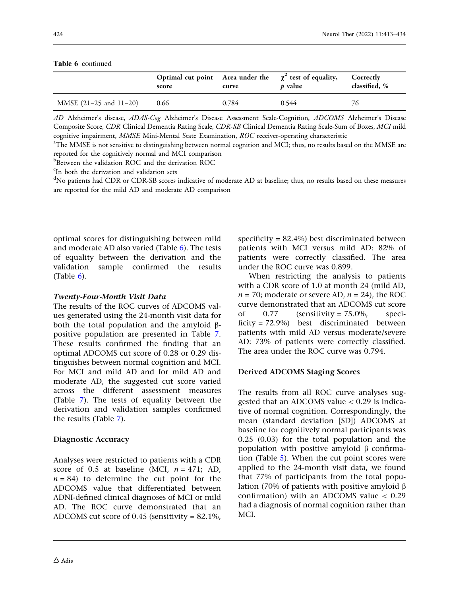|                        | score | curve | Optimal cut point Area under the $\chi^2$ test of equality,<br>p value | Correctly<br>classified, % |
|------------------------|-------|-------|------------------------------------------------------------------------|----------------------------|
| MMSE (21-25 and 11-20) | 0.66  | 0.784 | 0.544                                                                  | 76                         |

Table 6 continued

AD Alzheimer's disease, ADAS-Cog Alzheimer's Disease Assessment Scale-Cognition, ADCOMS Alzheimer's Disease Composite Score, CDR Clinical Dementia Rating Scale, CDR-SB Clinical Dementia Rating Scale-Sum of Boxes, MCI mild cognitive impairment, MMSE Mini-Mental State Examination, ROC receiver-operating characteristic

The MMSE is not sensitive to distinguishing between normal cognition and MCI; thus, no results based on the MMSE are reported for the cognitively normal and MCI comparison

**Between the validation ROC and the derivation ROC** 

c In both the derivation and validation sets

<sup>d</sup>No patients had CDR or CDR-SB scores indicative of moderate AD at baseline; thus, no results based on these measures are reported for the mild AD and moderate AD comparison

optimal scores for distinguishing between mild and moderate AD also varied (Table [6\)](#page-10-0). The tests of equality between the derivation and the validation sample confirmed the results (Table [6\)](#page-10-0).

### Twenty-Four-Month Visit Data

The results of the ROC curves of ADCOMS values generated using the 24-month visit data for both the total population and the amyloid  $\beta$ positive population are presented in Table [7](#page-12-0). These results confirmed the finding that an optimal ADCOMS cut score of 0.28 or 0.29 distinguishes between normal cognition and MCI. For MCI and mild AD and for mild AD and moderate AD, the suggested cut score varied across the different assessment measures (Table [7](#page-12-0)). The tests of equality between the derivation and validation samples confirmed the results (Table [7](#page-12-0)).

### Diagnostic Accuracy

Analyses were restricted to patients with a CDR score of 0.5 at baseline (MCI,  $n = 471$ ; AD,  $n = 84$ ) to determine the cut point for the ADCOMS value that differentiated between ADNI-defined clinical diagnoses of MCI or mild AD. The ROC curve demonstrated that an ADCOMS cut score of 0.45 (sensitivity = 82.1%, specificity = 82.4%) best discriminated between patients with MCI versus mild AD: 82% of patients were correctly classified. The area under the ROC curve was 0.899.

When restricting the analysis to patients with a CDR score of 1.0 at month 24 (mild AD,  $n = 70$ ; moderate or severe AD,  $n = 24$ ), the ROC curve demonstrated that an ADCOMS cut score of  $0.77$  (sensitivity =  $75.0\%$ , specificity = 72.9%) best discriminated between patients with mild AD versus moderate/severe AD: 73% of patients were correctly classified. The area under the ROC curve was 0.794.

### Derived ADCOMS Staging Scores

The results from all ROC curve analyses suggested that an ADCOMS value  $< 0.29$  is indicative of normal cognition. Correspondingly, the mean (standard deviation [SD]) ADCOMS at baseline for cognitively normal participants was 0.25 (0.03) for the total population and the population with positive amyloid  $\beta$  confirmation (Table [5](#page-7-0)). When the cut point scores were applied to the 24-month visit data, we found that 77% of participants from the total population (70% of patients with positive amyloid  $\beta$ confirmation) with an ADCOMS value  $< 0.29$ had a diagnosis of normal cognition rather than MCI.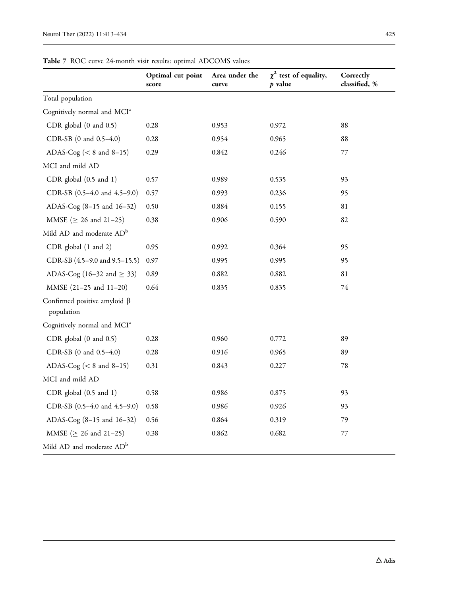<span id="page-12-0"></span>

|                                                  | Optimal cut point<br>score | Area under the<br>curve | $\chi^2$ test of equality,<br>$p$ value | Correctly<br>classified, % |
|--------------------------------------------------|----------------------------|-------------------------|-----------------------------------------|----------------------------|
| Total population                                 |                            |                         |                                         |                            |
| Cognitively normal and MCI <sup>a</sup>          |                            |                         |                                         |                            |
| CDR global $(0 \text{ and } 0.5)$                | 0.28                       | 0.953                   | 0.972                                   | 88                         |
| CDR-SB (0 and 0.5-4.0)                           | 0.28                       | 0.954                   | 0.965                                   | 88                         |
| ADAS-Cog ( $< 8$ and $8-15$ )                    | 0.29                       | 0.842                   | 0.246                                   | 77                         |
| MCI and mild AD                                  |                            |                         |                                         |                            |
| CDR global (0.5 and 1)                           | 0.57                       | 0.989                   | 0.535                                   | 93                         |
| CDR-SB (0.5-4.0 and 4.5-9.0)                     | 0.57                       | 0.993                   | 0.236                                   | 95                         |
| ADAS-Cog (8-15 and 16-32)                        | 0.50                       | 0.884                   | 0.155                                   | 81                         |
| MMSE ( $\geq$ 26 and 21-25)                      | 0.38                       | 0.906                   | 0.590                                   | 82                         |
| Mild AD and moderate AD <sup>b</sup>             |                            |                         |                                         |                            |
| CDR global (1 and 2)                             | 0.95                       | 0.992                   | 0.364                                   | 95                         |
| CDR-SB (4.5–9.0 and 9.5–15.5)                    | 0.97                       | 0.995                   | 0.995                                   | 95                         |
| ADAS-Cog (16–32 and $\geq$ 33)                   | 0.89                       | 0.882                   | 0.882                                   | 81                         |
| MMSE (21-25 and 11-20)                           | 0.64                       | 0.835                   | 0.835                                   | $74\,$                     |
| Confirmed positive amyloid $\beta$<br>population |                            |                         |                                         |                            |
| Cognitively normal and MCI <sup>a</sup>          |                            |                         |                                         |                            |
| CDR global $(0 \text{ and } 0.5)$                | 0.28                       | 0.960                   | 0.772                                   | 89                         |
| CDR-SB (0 and 0.5-4.0)                           | 0.28                       | 0.916                   | 0.965                                   | 89                         |
| ADAS-Cog ( $< 8$ and $8-15$ )                    | 0.31                       | 0.843                   | 0.227                                   | 78                         |
| MCI and mild AD                                  |                            |                         |                                         |                            |
| CDR global (0.5 and 1)                           | 0.58                       | 0.986                   | 0.875                                   | 93                         |
| CDR-SB (0.5-4.0 and 4.5-9.0)                     | 0.58                       | 0.986                   | 0.926                                   | 93                         |
| ADAS-Cog (8-15 and 16-32)                        | 0.56                       | 0.864                   | 0.319                                   | 79                         |
| MMSE ( $\geq$ 26 and 21-25)                      | 0.38                       | 0.862                   | 0.682                                   | $77\,$                     |
| Mild AD and moderate AD <sup>b</sup>             |                            |                         |                                         |                            |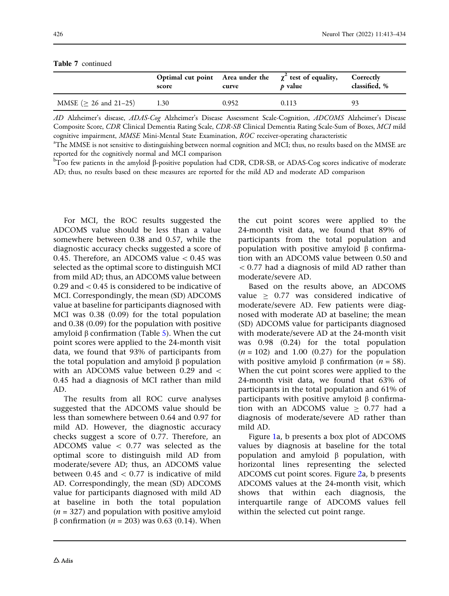|                             | score | curve | Optimal cut point Area under the $\chi^2$ test of equality,<br>p value | Correctly<br>classified, % |
|-----------------------------|-------|-------|------------------------------------------------------------------------|----------------------------|
| MMSE ( $\geq$ 26 and 21–25) | 1.30  | 0.952 | 0.113                                                                  | 93                         |

Table 7 continued

AD Alzheimer's disease, ADAS-Cog Alzheimer's Disease Assessment Scale-Cognition, ADCOMS Alzheimer's Disease Composite Score, CDR Clinical Dementia Rating Scale, CDR-SB Clinical Dementia Rating Scale-Sum of Boxes, MCI mild cognitive impairment, MMSE Mini-Mental State Examination, ROC receiver-operating characteristic

<sup>a</sup>The MMSE is not sensitive to distinguishing between normal cognition and MCI; thus, no results based on the MMSE are reported for the cognitively normal and MCI comparison

 $^{\rm b}$ Too few patients in the amyloid ß-positive population had CDR, CDR-SB, or ADAS-Cog scores indicative of moderate AD; thus, no results based on these measures are reported for the mild AD and moderate AD comparison

For MCI, the ROC results suggested the ADCOMS value should be less than a value somewhere between 0.38 and 0.57, while the diagnostic accuracy checks suggested a score of 0.45. Therefore, an ADCOMS value  $< 0.45$  was selected as the optimal score to distinguish MCI from mild AD; thus, an ADCOMS value between  $0.29$  and  $< 0.45$  is considered to be indicative of MCI. Correspondingly, the mean (SD) ADCOMS value at baseline for participants diagnosed with MCI was 0.38 (0.09) for the total population and 0.38 (0.09) for the population with positive amyloid  $\beta$  confirmation (Table [5\)](#page-7-0). When the cut point scores were applied to the 24-month visit data, we found that 93% of participants from the total population and amyloid  $\beta$  population with an ADCOMS value between 0.29 and  $\lt$ 0.45 had a diagnosis of MCI rather than mild AD.

The results from all ROC curve analyses suggested that the ADCOMS value should be less than somewhere between 0.64 and 0.97 for mild AD. However, the diagnostic accuracy checks suggest a score of 0.77. Therefore, an ADCOMS value  $\langle$  0.77 was selected as the optimal score to distinguish mild AD from moderate/severe AD; thus, an ADCOMS value between 0.45 and  $\lt$  0.77 is indicative of mild AD. Correspondingly, the mean (SD) ADCOMS value for participants diagnosed with mild AD at baseline in both the total population  $(n = 327)$  and population with positive amyloid  $β$  confirmation (*n* = 203) was 0.63 (0.14). When the cut point scores were applied to the 24-month visit data, we found that 89% of participants from the total population and population with positive amyloid  $\beta$  confirmation with an ADCOMS value between 0.50 and  $<$  0.77 had a diagnosis of mild AD rather than moderate/severe AD.

Based on the results above, an ADCOMS value  $> 0.77$  was considered indicative of moderate/severe AD. Few patients were diagnosed with moderate AD at baseline; the mean (SD) ADCOMS value for participants diagnosed with moderate/severe AD at the 24-month visit was 0.98 (0.24) for the total population  $(n = 102)$  and 1.00 (0.27) for the population with positive amyloid  $\beta$  confirmation (*n* = 58). When the cut point scores were applied to the 24-month visit data, we found that 63% of participants in the total population and 61% of participants with positive amyloid  $\beta$  confirmation with an ADCOMS value  $> 0.77$  had a diagnosis of moderate/severe AD rather than mild AD.

Figure [1a](#page-14-0), b presents a box plot of ADCOMS values by diagnosis at baseline for the total population and amyloid  $\beta$  population, with horizontal lines representing the selected ADCOMS cut point scores. Figure [2](#page-15-0)a, b presents ADCOMS values at the 24-month visit, which shows that within each diagnosis, the interquartile range of ADCOMS values fell within the selected cut point range.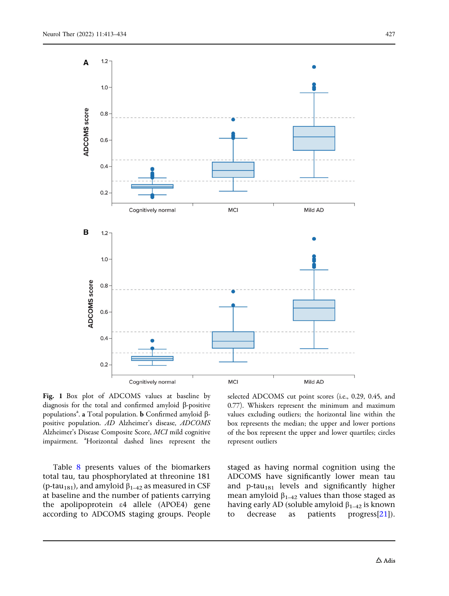<span id="page-14-0"></span>

Fig. 1 Box plot of ADCOMS values at baseline by diagnosis for the total and confirmed amyloid  $\beta$ -positive populations<sup>a</sup>. a Total population. **b** Confirmed amyloid  $\beta$ positive population. AD Alzheimer's disease, ADCOMS Alzheimer's Disease Composite Score, MCI mild cognitive impairment. <sup>a</sup>Horizontal dashed lines represent the

Table [8](#page-16-0) presents values of the biomarkers total tau, tau phosphorylated at threonine 181 (p-tau<sub>181</sub>), and amyloid  $\beta_{1-42}$  as measured in CSF at baseline and the number of patients carrying the apolipoprotein e4 allele (APOE4) gene according to ADCOMS staging groups. People

selected ADCOMS cut point scores (i.e., 0.29, 0.45, and 0.77). Whiskers represent the minimum and maximum values excluding outliers; the horizontal line within the box represents the median; the upper and lower portions of the box represent the upper and lower quartiles; circles represent outliers

staged as having normal cognition using the ADCOMS have significantly lower mean tau and p-tau<sub>181</sub> levels and significantly higher mean amyloid  $\beta_{1-42}$  values than those staged as having early AD (soluble amyloid  $\beta_{1-42}$  is known<br>to decrease as patients progress[21]). to decrease as patients progress[\[21\]](#page-20-0)).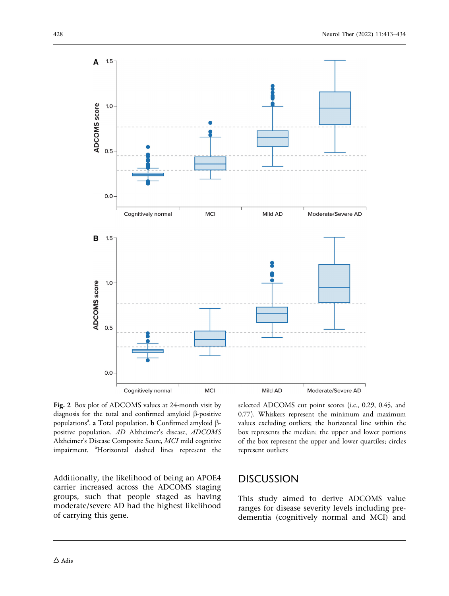<span id="page-15-0"></span>

Fig. 2 Box plot of ADCOMS values at 24-month visit by diagnosis for the total and confirmed amyloid  $\beta$ -positive populations<sup>a</sup>. a Total population. **b** Confirmed amyloid  $\beta$ positive population. AD Alzheimer's disease, ADCOMS Alzheimer's Disease Composite Score, MCI mild cognitive impairment. <sup>a</sup>Horizontal dashed lines represent the

Additionally, the likelihood of being an APOE4 carrier increased across the ADCOMS staging groups, such that people staged as having moderate/severe AD had the highest likelihood of carrying this gene.

selected ADCOMS cut point scores (i.e., 0.29, 0.45, and 0.77). Whiskers represent the minimum and maximum values excluding outliers; the horizontal line within the box represents the median; the upper and lower portions of the box represent the upper and lower quartiles; circles represent outliers

# **DISCUSSION**

This study aimed to derive ADCOMS value ranges for disease severity levels including predementia (cognitively normal and MCI) and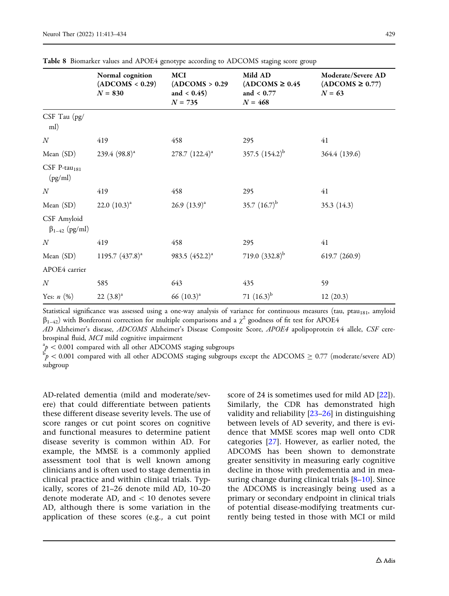|                                       | Normal cognition<br>(ADCOMS < 0.29)<br>$N = 830$ | <b>MCI</b><br>(ADCOMS > 0.29)<br>and $< 0.45$ )<br>$N = 735$ | Mild AD<br>$(ADCOMS \geq 0.45$<br>and $< 0.77$<br>$N = 468$ | Moderate/Severe AD<br>$(ADCOMS \geq 0.77)$<br>$N = 63$ |
|---------------------------------------|--------------------------------------------------|--------------------------------------------------------------|-------------------------------------------------------------|--------------------------------------------------------|
| $CSF$ Tau $(pg)$<br>ml)               |                                                  |                                                              |                                                             |                                                        |
| $\boldsymbol{N}$                      | 419                                              | 458                                                          | 295                                                         | 41                                                     |
| Mean (SD)                             | 239.4 $(98.8)^a$                                 | $278.7$ $(122.4)^a$                                          | 357.5 $(154.2)^{b}$                                         | 364.4 (139.6)                                          |
| CSF P-tau <sub>181</sub><br>(pg/ml)   |                                                  |                                                              |                                                             |                                                        |
| $\boldsymbol{N}$                      | 419                                              | 458                                                          | 295                                                         | 41                                                     |
| Mean (SD)                             | 22.0 $(10.3)^{a}$                                | 26.9 $(13.9)^{a}$                                            | 35.7 $(16.7)^{b}$                                           | 35.3 (14.3)                                            |
| CSF Amyloid<br>$\beta_{1-42}$ (pg/ml) |                                                  |                                                              |                                                             |                                                        |
| $\cal N$                              | 419                                              | 458                                                          | 295                                                         | 41                                                     |
| Mean (SD)                             | 1195.7 $(437.8)^a$                               | 983.5 $(452.2)^a$                                            | 719.0 $(332.8)^{b}$                                         | 619.7(260.9)                                           |
| APOE4 carrier                         |                                                  |                                                              |                                                             |                                                        |
| $\boldsymbol{N}$                      | 585                                              | 643                                                          | 435                                                         | 59                                                     |
| Yes: $n$ $(\%)$                       | $22 (3.8)^a$                                     | 66 $(10.3)^{a}$                                              | 71 $(16.3)^{b}$                                             | 12(20.3)                                               |
|                                       |                                                  |                                                              |                                                             |                                                        |

<span id="page-16-0"></span>Table 8 Biomarker values and APOE4 genotype according to ADCOMS staging score group

Statistical significance was assessed using a one-way analysis of variance for continuous measures (tau, ptau<sub>181</sub>, amyloid  $\beta_{1-42}$ ) with Bonferonni correction for multiple comparisons and a  $\chi^2$  goodness of fit test for APOE4

AD Alzheimer's disease, ADCOMS Alzheimer's Disease Composite Score, APOE4 apolipoprotein e4 allele, CSF cerebrospinal fluid, MCI mild cognitive impairment

 $n^2 p < 0.001$  compared with all other ADCOMS staging subgroups

 $^5p$  < 0.001 compared with all other ADCOMS staging subgroups except the ADCOMS  $\geq$  0.77 (moderate/severe AD) subgroup

AD-related dementia (mild and moderate/severe) that could differentiate between patients these different disease severity levels. The use of score ranges or cut point scores on cognitive and functional measures to determine patient disease severity is common within AD. For example, the MMSE is a commonly applied assessment tool that is well known among clinicians and is often used to stage dementia in clinical practice and within clinical trials. Typically, scores of 21–26 denote mild AD, 10–20 denote moderate AD, and  $\lt$  10 denotes severe AD, although there is some variation in the application of these scores (e.g., a cut point

score of 24 is sometimes used for mild AD  $[22]$ ). Similarly, the CDR has demonstrated high validity and reliability  $[23-26]$  in distinguishing between levels of AD severity, and there is evidence that MMSE scores map well onto CDR categories [[27](#page-20-0)]. However, as earlier noted, the ADCOMS has been shown to demonstrate greater sensitivity in measuring early cognitive decline in those with predementia and in measuring change during clinical trials  $[8-10]$  $[8-10]$  $[8-10]$ . Since the ADCOMS is increasingly being used as a primary or secondary endpoint in clinical trials of potential disease-modifying treatments currently being tested in those with MCI or mild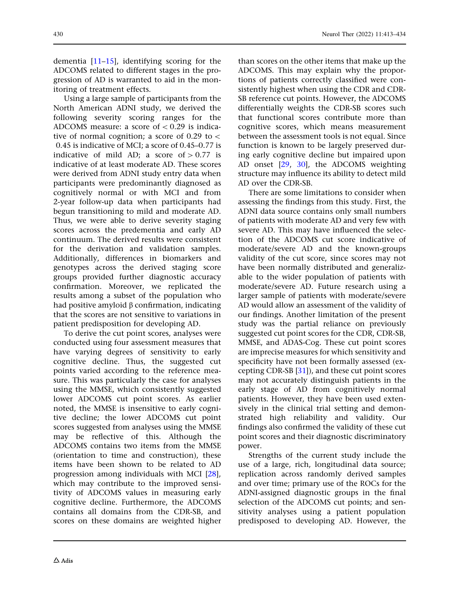dementia  $[11-15]$ , identifying scoring for the ADCOMS related to different stages in the progression of AD is warranted to aid in the monitoring of treatment effects.

Using a large sample of participants from the North American ADNI study, we derived the following severity scoring ranges for the ADCOMS measure: a score of  $\lt$  0.29 is indicative of normal cognition; a score of  $0.29$  to  $\lt$ 0.45 is indicative of MCI; a score of 0.45–0.77 is indicative of mild AD; a score of  $> 0.77$  is indicative of at least moderate AD. These scores were derived from ADNI study entry data when participants were predominantly diagnosed as cognitively normal or with MCI and from 2-year follow-up data when participants had begun transitioning to mild and moderate AD. Thus, we were able to derive severity staging scores across the predementia and early AD continuum. The derived results were consistent for the derivation and validation samples. Additionally, differences in biomarkers and genotypes across the derived staging score groups provided further diagnostic accuracy confirmation. Moreover, we replicated the results among a subset of the population who had positive amyloid  $\beta$  confirmation, indicating that the scores are not sensitive to variations in patient predisposition for developing AD.

To derive the cut point scores, analyses were conducted using four assessment measures that have varying degrees of sensitivity to early cognitive decline. Thus, the suggested cut points varied according to the reference measure. This was particularly the case for analyses using the MMSE, which consistently suggested lower ADCOMS cut point scores. As earlier noted, the MMSE is insensitive to early cognitive decline; the lower ADCOMS cut point scores suggested from analyses using the MMSE may be reflective of this. Although the ADCOMS contains two items from the MMSE (orientation to time and construction), these items have been shown to be related to AD progression among individuals with MCI [[28](#page-20-0)], which may contribute to the improved sensitivity of ADCOMS values in measuring early cognitive decline. Furthermore, the ADCOMS contains all domains from the CDR-SB, and scores on these domains are weighted higher than scores on the other items that make up the ADCOMS. This may explain why the proportions of patients correctly classified were consistently highest when using the CDR and CDR-SB reference cut points. However, the ADCOMS differentially weights the CDR-SB scores such that functional scores contribute more than cognitive scores, which means measurement between the assessment tools is not equal. Since function is known to be largely preserved during early cognitive decline but impaired upon AD onset [[29](#page-20-0), [30](#page-20-0)], the ADCOMS weighting structure may influence its ability to detect mild AD over the CDR-SB.

There are some limitations to consider when assessing the findings from this study. First, the ADNI data source contains only small numbers of patients with moderate AD and very few with severe AD. This may have influenced the selection of the ADCOMS cut score indicative of moderate/severe AD and the known-groups validity of the cut score, since scores may not have been normally distributed and generalizable to the wider population of patients with moderate/severe AD. Future research using a larger sample of patients with moderate/severe AD would allow an assessment of the validity of our findings. Another limitation of the present study was the partial reliance on previously suggested cut point scores for the CDR, CDR-SB, MMSE, and ADAS-Cog. These cut point scores are imprecise measures for which sensitivity and specificity have not been formally assessed (excepting CDR-SB [\[31](#page-20-0)]), and these cut point scores may not accurately distinguish patients in the early stage of AD from cognitively normal patients. However, they have been used extensively in the clinical trial setting and demonstrated high reliability and validity. Our findings also confirmed the validity of these cut point scores and their diagnostic discriminatory power.

Strengths of the current study include the use of a large, rich, longitudinal data source; replication across randomly derived samples and over time; primary use of the ROCs for the ADNI-assigned diagnostic groups in the final selection of the ADCOMS cut points; and sensitivity analyses using a patient population predisposed to developing AD. However, the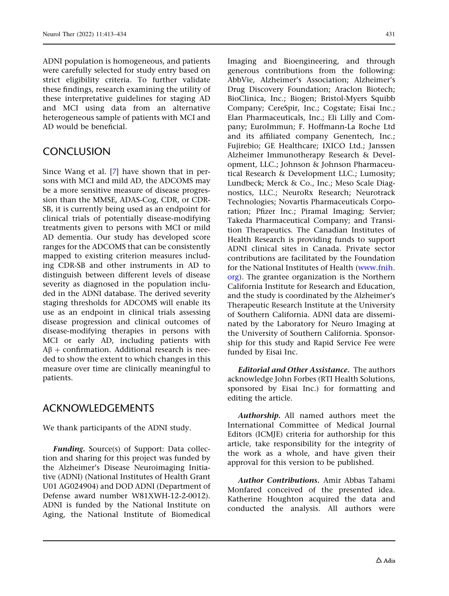ADNI population is homogeneous, and patients were carefully selected for study entry based on strict eligibility criteria. To further validate these findings, research examining the utility of these interpretative guidelines for staging AD and MCI using data from an alternative heterogeneous sample of patients with MCI and AD would be beneficial.

# **CONCLUSION**

Since Wang et al. [[7\]](#page-19-0) have shown that in persons with MCI and mild AD, the ADCOMS may be a more sensitive measure of disease progression than the MMSE, ADAS-Cog, CDR, or CDR-SB, it is currently being used as an endpoint for clinical trials of potentially disease-modifying treatments given to persons with MCI or mild AD dementia. Our study has developed score ranges for the ADCOMS that can be consistently mapped to existing criterion measures including CDR-SB and other instruments in AD to distinguish between different levels of disease severity as diagnosed in the population included in the ADNI database. The derived severity staging thresholds for ADCOMS will enable its use as an endpoint in clinical trials assessing disease progression and clinical outcomes of disease-modifying therapies in persons with MCI or early AD, including patients with  $AB +$  confirmation. Additional research is needed to show the extent to which changes in this measure over time are clinically meaningful to patients.

# ACKNOWLEDGEMENTS

We thank participants of the ADNI study.

Funding. Source(s) of Support: Data collection and sharing for this project was funded by the Alzheimer's Disease Neuroimaging Initiative (ADNI) (National Institutes of Health Grant U01 AG024904) and DOD ADNI (Department of Defense award number W81XWH-12-2-0012). ADNI is funded by the National Institute on Aging, the National Institute of Biomedical

Imaging and Bioengineering, and through generous contributions from the following: AbbVie, Alzheimer's Association; Alzheimer's Drug Discovery Foundation; Araclon Biotech; BioClinica, Inc.; Biogen; Bristol-Myers Squibb Company; CereSpir, Inc.; Cogstate; Eisai Inc.; Elan Pharmaceuticals, Inc.; Eli Lilly and Company; EuroImmun; F. Hoffmann-La Roche Ltd and its affiliated company Genentech, Inc.; Fujirebio; GE Healthcare; IXICO Ltd.; Janssen Alzheimer Immunotherapy Research & Development, LLC.; Johnson & Johnson Pharmaceutical Research & Development LLC.; Lumosity; Lundbeck; Merck & Co., Inc.; Meso Scale Diagnostics, LLC.; NeuroRx Research; Neurotrack Technologies; Novartis Pharmaceuticals Corporation; Pfizer Inc.; Piramal Imaging; Servier; Takeda Pharmaceutical Company; and Transition Therapeutics. The Canadian Institutes of Health Research is providing funds to support ADNI clinical sites in Canada. Private sector contributions are facilitated by the Foundation for the National Institutes of Health [\(www.fnih.](http://www.fnih.org) [org](http://www.fnih.org)). The grantee organization is the Northern California Institute for Research and Education, and the study is coordinated by the Alzheimer's Therapeutic Research Institute at the University of Southern California. ADNI data are disseminated by the Laboratory for Neuro Imaging at the University of Southern California. Sponsorship for this study and Rapid Service Fee were funded by Eisai Inc.

Editorial and Other Assistance. The authors acknowledge John Forbes (RTI Health Solutions, sponsored by Eisai Inc.) for formatting and editing the article.

Authorship. All named authors meet the International Committee of Medical Journal Editors (ICMJE) criteria for authorship for this article, take responsibility for the integrity of the work as a whole, and have given their approval for this version to be published.

Author Contributions. Amir Abbas Tahami Monfared conceived of the presented idea. Katherine Houghton acquired the data and conducted the analysis. All authors were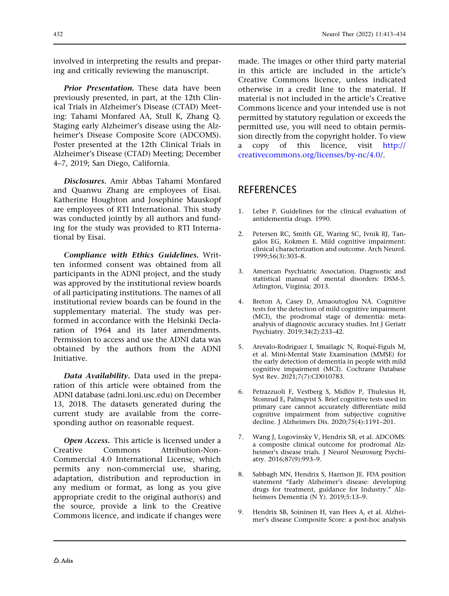<span id="page-19-0"></span>involved in interpreting the results and preparing and critically reviewing the manuscript.

Prior Presentation. These data have been previously presented, in part, at the 12th Clinical Trials in Alzheimer's Disease (CTAD) Meeting: Tahami Monfared AA, Stull K, Zhang Q. Staging early Alzheimer's disease using the Alzheimer's Disease Composite Score (ADCOMS). Poster presented at the 12th Clinical Trials in Alzheimer's Disease (CTAD) Meeting; December 4–7, 2019; San Diego, California.

Disclosures. Amir Abbas Tahami Monfared and Quanwu Zhang are employees of Eisai. Katherine Houghton and Josephine Mauskopf are employees of RTI International. This study was conducted jointly by all authors and funding for the study was provided to RTI International by Eisai.

Compliance with Ethics Guidelines. Written informed consent was obtained from all participants in the ADNI project, and the study was approved by the institutional review boards of all participating institutions. The names of all institutional review boards can be found in the supplementary material. The study was performed in accordance with the Helsinki Declaration of 1964 and its later amendments. Permission to access and use the ADNI data was obtained by the authors from the ADNI Initiative.

Data Availability. Data used in the preparation of this article were obtained from the ADNI database (adni.loni.usc.edu) on December 13, 2018. The datasets generated during the current study are available from the corresponding author on reasonable request.

**Open Access.** This article is licensed under a Creative Commons Attribution-Non-Commercial 4.0 International License, which permits any non-commercial use, sharing, adaptation, distribution and reproduction in any medium or format, as long as you give appropriate credit to the original author(s) and the source, provide a link to the Creative Commons licence, and indicate if changes were

made. The images or other third party material in this article are included in the article's Creative Commons licence, unless indicated otherwise in a credit line to the material. If material is not included in the article's Creative Commons licence and your intended use is not permitted by statutory regulation or exceeds the permitted use, you will need to obtain permission directly from the copyright holder. To view a copy of this licence, visit [http://](http://creativecommons.org/licenses/by-nc/4.0/) [creativecommons.org/licenses/by-nc/4.0/](http://creativecommons.org/licenses/by-nc/4.0/).

# **REFERENCES**

- 1. Leber P. Guidelines for the clinical evaluation of antidementia drugs. 1990.
- 2. Petersen RC, Smith GE, Waring SC, Ivnik RJ, Tangalos EG, Kokmen E. Mild cognitive impairment: clinical characterization and outcome. Arch Neurol. 1999;56(3):303–8.
- 3. American Psychiatric Association. Diagnostic and statistical manual of mental disorders: DSM-5. Arlington, Virginia; 2013.
- 4. Breton A, Casey D, Arnaoutoglou NA. Cognitive tests for the detection of mild cognitive impairment (MCI), the prodromal stage of dementia: metaanalysis of diagnostic accuracy studies. Int J Geriatr Psychiatry. 2019;34(2):233–42.
- 5. Arevalo-Rodriguez I, Smailagic N, Roqué-Figuls M, et al. Mini-Mental State Examination (MMSE) for the early detection of dementia in people with mild cognitive impairment (MCI). Cochrane Database Syst Rev. 2021;7(7):CD010783.
- 6. Petrazzuoli F, Vestberg S, Midlöv P, Thulesius H, Stomrud E, Palmqvist S. Brief cognitive tests used in primary care cannot accurately differentiate mild cognitive impairment from subjective cognitive decline. J Alzheimers Dis. 2020;75(4):1191–201.
- 7. Wang J, Logovinsky V, Hendrix SB, et al. ADCOMS: a composite clinical outcome for prodromal Alzheimer's disease trials. J Neurol Neurosurg Psychiatry. 2016;87(9):993–9.
- 8. Sabbagh MN, Hendrix S, Harrison JE. FDA position statement "Early Alzheimer's disease: developing drugs for treatment, guidance for Industry.'' Alzheimers Dementia (N Y). 2019;5:13–9.
- 9. Hendrix SB, Soininen H, van Hees A, et al. Alzheimer's disease Composite Score: a post-hoc analysis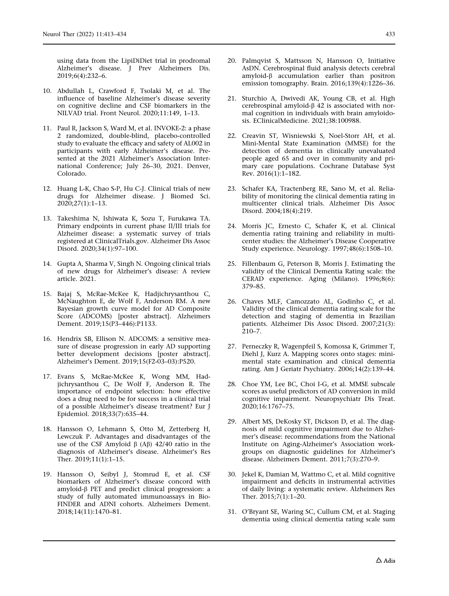<span id="page-20-0"></span>using data from the LipiDiDiet trial in prodromal Alzheimer's disease. J Prev Alzheimers Dis. 2019;6(4):232–6.

- 10. Abdullah L, Crawford F, Tsolaki M, et al. The influence of baseline Alzheimer's disease severity on cognitive decline and CSF biomarkers in the NILVAD trial. Front Neurol. 2020;11:149, 1–13.
- 11. Paul R, Jackson S, Ward M, et al. INVOKE-2: a phase 2 randomized, double-blind, placebo-controlled study to evaluate the efficacy and safety of AL002 in participants with early Alzheimer's disease. Presented at the 2021 Alzheimer's Association International Conference; July 26–30, 2021. Denver, Colorado.
- 12. Huang L-K, Chao S-P, Hu C-J. Clinical trials of new drugs for Alzheimer disease. J Biomed Sci. 2020;27(1):1–13.
- 13. Takeshima N, Ishiwata K, Sozu T, Furukawa TA. Primary endpoints in current phase II/III trials for Alzheimer disease: a systematic survey of trials registered at ClinicalTrials.gov. Alzheimer Dis Assoc Disord. 2020;34(1):97–100.
- 14. Gupta A, Sharma V, Singh N. Ongoing clinical trials of new drugs for Alzheimer's disease: A review article. 2021.
- 15. Bajaj S, McRae-McKee K, Hadjichrysanthou C, McNaughton E, de Wolf F, Anderson RM. A new Bayesian growth curve model for AD Composite Score (ADCOMS) [poster abstract]. Alzheimers Dement. 2019;15(P3–446):P1133.
- 16. Hendrix SB, Ellison N. ADCOMS: a sensitive measure of disease progression in early AD supporting better development decisions [poster abstract]. Alzheimer's Dement. 2019;15(F2-03–03):P520.
- 17. Evans S, McRae-McKee K, Wong MM, Hadjichrysanthou C, De Wolf F, Anderson R. The importance of endpoint selection: how effective does a drug need to be for success in a clinical trial of a possible Alzheimer's disease treatment? Eur J Epidemiol. 2018;33(7):635–44.
- 18. Hansson O, Lehmann S, Otto M, Zetterberg H, Lewczuk P. Advantages and disadvantages of the use of the CSF Amyloid  $\beta$  (A $\beta$ ) 42/40 ratio in the diagnosis of Alzheimer's disease. Alzheimer's Res Ther. 2019;11(1):1–15.
- 19. Hansson O, Seibyl J, Stomrud E, et al. CSF biomarkers of Alzheimer's disease concord with amyloid- $\beta$  PET and predict clinical progression: a study of fully automated immunoassays in Bio-FINDER and ADNI cohorts. Alzheimers Dement. 2018;14(11):1470–81.
- 20. Palmqvist S, Mattsson N, Hansson O, Initiative AsDN. Cerebrospinal fluid analysis detects cerebral  $amyloid- $\beta$  accumulation earlier than positron$ emission tomography. Brain. 2016;139(4):1226–36.
- 21. Sturchio A, Dwivedi AK, Young CB, et al. High cerebrospinal amyloid- $\beta$  42 is associated with normal cognition in individuals with brain amyloidosis. EClinicalMedicine. 2021;38:100988.
- 22. Creavin ST, Wisniewski S, Noel-Storr AH, et al. Mini-Mental State Examination (MMSE) for the detection of dementia in clinically unevaluated people aged 65 and over in community and primary care populations. Cochrane Database Syst Rev. 2016(1):1–182.
- 23. Schafer KA, Tractenberg RE, Sano M, et al. Reliability of monitoring the clinical dementia rating in multicenter clinical trials. Alzheimer Dis Assoc Disord. 2004;18(4):219.
- 24. Morris JC, Ernesto C, Schafer K, et al. Clinical dementia rating training and reliability in multicenter studies: the Alzheimer's Disease Cooperative Study experience. Neurology. 1997;48(6):1508–10.
- 25. Fillenbaum G, Peterson B, Morris J. Estimating the validity of the Clinical Dementia Rating scale: the CERAD experience. Aging (Milano). 1996;8(6): 379–85.
- 26. Chaves MLF, Camozzato AL, Godinho C, et al. Validity of the clinical dementia rating scale for the detection and staging of dementia in Brazilian patients. Alzheimer Dis Assoc Disord. 2007;21(3): 210–7.
- 27. Perneczky R, Wagenpfeil S, Komossa K, Grimmer T, Diehl J, Kurz A. Mapping scores onto stages: minimental state examination and clinical dementia rating. Am J Geriatr Psychiatry. 2006;14(2):139–44.
- 28. Choe YM, Lee BC, Choi I-G, et al. MMSE subscale scores as useful predictors of AD conversion in mild cognitive impairment. Neuropsychiatr Dis Treat. 2020;16:1767–75.
- 29. Albert MS, DeKosky ST, Dickson D, et al. The diagnosis of mild cognitive impairment due to Alzheimer's disease: recommendations from the National Institute on Aging-Alzheimer's Association workgroups on diagnostic guidelines for Alzheimer's disease. Alzheimers Dement. 2011;7(3):270–9.
- 30. Jekel K, Damian M, Wattmo C, et al. Mild cognitive impairment and deficits in instrumental activities of daily living: a systematic review. Alzheimers Res Ther. 2015;7(1):1–20.
- 31. O'Bryant SE, Waring SC, Cullum CM, et al. Staging dementia using clinical dementia rating scale sum